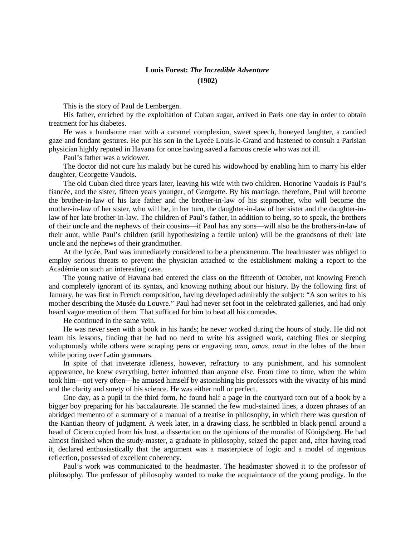## **Louis Forest:** *The Incredible Adventure* **(1902)**

This is the story of Paul de Lembergen.

His father, enriched by the exploitation of Cuban sugar, arrived in Paris one day in order to obtain treatment for his diabetes.

He was a handsome man with a caramel complexion, sweet speech, honeyed laughter, a candied gaze and fondant gestures. He put his son in the Lycée Louis-le-Grand and hastened to consult a Parisian physician highly reputed in Havana for once having saved a famous creole who was not ill.

Paul's father was a widower.

The doctor did not cure his malady but he cured his widowhood by enabling him to marry his elder daughter, Georgette Vaudois.

The old Cuban died three years later, leaving his wife with two children. Honorine Vaudois is Paul's fiancée, and the sister, fifteen years younger, of Georgette. By his marriage, therefore, Paul will become the brother-in-law of his late father and the brother-in-law of his stepmother, who will become the mother-in-law of her sister, who will be, in her turn, the daughter-in-law of her sister and the daughter-inlaw of her late brother-in-law. The children of Paul's father, in addition to being, so to speak, the brothers of their uncle and the nephews of their cousins—if Paul has any sons—will also be the brothers-in-law of their aunt, while Paul's children (still hypothesizing a fertile union) will be the grandsons of their late uncle and the nephews of their grandmother.

At the lycée, Paul was immediately considered to be a phenomenon. The headmaster was obliged to employ serious threats to prevent the physician attached to the establishment making a report to the Académie on such an interesting case.

The young native of Havana had entered the class on the fifteenth of October, not knowing French and completely ignorant of its syntax, and knowing nothing about our history. By the following first of January, he was first in French composition, having developed admirably the subject: "A son writes to his mother describing the Musée du Louvre." Paul had never set foot in the celebrated galleries, and had only heard vague mention of them. That sufficed for him to beat all his comrades.

He continued in the same vein.

He was never seen with a book in his hands; he never worked during the hours of study. He did not learn his lessons, finding that he had no need to write his assigned work, catching flies or sleeping voluptuously while others were scraping pens or engraving *amo, amas, amat* in the lobes of the brain while poring over Latin grammars.

In spite of that inveterate idleness, however, refractory to any punishment, and his somnolent appearance, he knew everything, better informed than anyone else. From time to time, when the whim took him—not very often—he amused himself by astonishing his professors with the vivacity of his mind and the clarity and surety of his science. He was either null or perfect.

One day, as a pupil in the third form, he found half a page in the courtyard torn out of a book by a bigger boy preparing for his baccalaureate. He scanned the few mud-stained lines, a dozen phrases of an abridged memento of a summary of a manual of a treatise in philosophy, in which there was question of the Kantian theory of judgment. A week later, in a drawing class, he scribbled in black pencil around a head of Cicero copied from his bust, a dissertation on the opinions of the moralist of Königsberg. He had almost finished when the study-master, a graduate in philosophy, seized the paper and, after having read it, declared enthusiastically that the argument was a masterpiece of logic and a model of ingenious reflection, possessed of excellent coherency.

Paul's work was communicated to the headmaster. The headmaster showed it to the professor of philosophy. The professor of philosophy wanted to make the acquaintance of the young prodigy. In the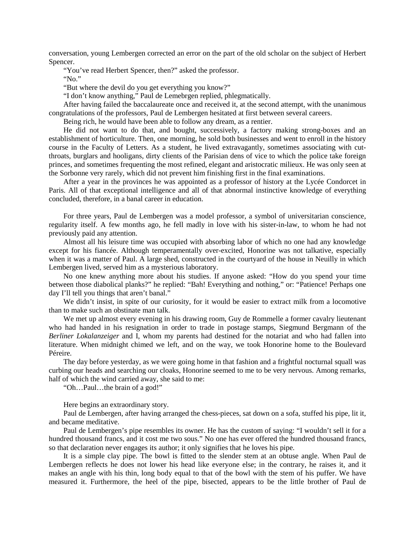conversation, young Lembergen corrected an error on the part of the old scholar on the subject of Herbert Spencer.

"You've read Herbert Spencer, then?" asked the professor.

"No."

"But where the devil do you get everything you know?"

"I don't know anything," Paul de Lemebrgen replied, phlegmatically.

After having failed the baccalaureate once and received it, at the second attempt, with the unanimous congratulations of the professors, Paul de Lembergen hesitated at first between several careers.

Being rich, he would have been able to follow any dream, as a rentier.

He did not want to do that, and bought, successively, a factory making strong-boxes and an establishment of horticulture. Then, one morning, he sold both businesses and went to enroll in the history course in the Faculty of Letters. As a student, he lived extravagantly, sometimes associating with cutthroats, burglars and hooligans, dirty clients of the Parisian dens of vice to which the police take foreign princes, and sometimes frequenting the most refined, elegant and aristocratic milieux. He was only seen at the Sorbonne very rarely, which did not prevent him finishing first in the final examinations.

After a year in the provinces he was appointed as a professor of history at the Lycée Condorcet in Paris. All of that exceptional intelligence and all of that abnormal instinctive knowledge of everything concluded, therefore, in a banal career in education.

For three years, Paul de Lembergen was a model professor, a symbol of universitarian conscience, regularity itself. A few months ago, he fell madly in love with his sister-in-law, to whom he had not previously paid any attention.

Almost all his leisure time was occupied with absorbing labor of which no one had any knowledge except for his fiancée. Although temperamentally over-excited, Honorine was not talkative, especially when it was a matter of Paul. A large shed, constructed in the courtyard of the house in Neuilly in which Lembergen lived, served him as a mysterious laboratory.

No one knew anything more about his studies. If anyone asked: "How do you spend your time between those diabolical planks?" he replied: "Bah! Everything and nothing," or: "Patience! Perhaps one day I'll tell you things that aren't banal."

We didn't insist, in spite of our curiosity, for it would be easier to extract milk from a locomotive than to make such an obstinate man talk.

We met up almost every evening in his drawing room, Guy de Rommelle a former cavalry lieutenant who had handed in his resignation in order to trade in postage stamps, Siegmund Bergmann of the *Berliner Lokalanzeiger* and I, whom my parents had destined for the notariat and who had fallen into literature. When midnight chimed we left, and on the way, we took Honorine home to the Boulevard Péreire.

The day before yesterday, as we were going home in that fashion and a frightful nocturnal squall was curbing our heads and searching our cloaks, Honorine seemed to me to be very nervous. Among remarks, half of which the wind carried away, she said to me:

"Oh…Paul…the brain of a god!"

Here begins an extraordinary story.

Paul de Lembergen, after having arranged the chess-pieces, sat down on a sofa, stuffed his pipe, lit it, and became meditative.

Paul de Lembergen's pipe resembles its owner. He has the custom of saying: "I wouldn't sell it for a hundred thousand francs, and it cost me two sous." No one has ever offered the hundred thousand francs, so that declaration never engages its author; it only signifies that he loves his pipe.

It is a simple clay pipe. The bowl is fitted to the slender stem at an obtuse angle. When Paul de Lembergen reflects he does not lower his head like everyone else; in the contrary, he raises it, and it makes an angle with his thin, long body equal to that of the bowl with the stem of his puffer. We have measured it. Furthermore, the heel of the pipe, bisected, appears to be the little brother of Paul de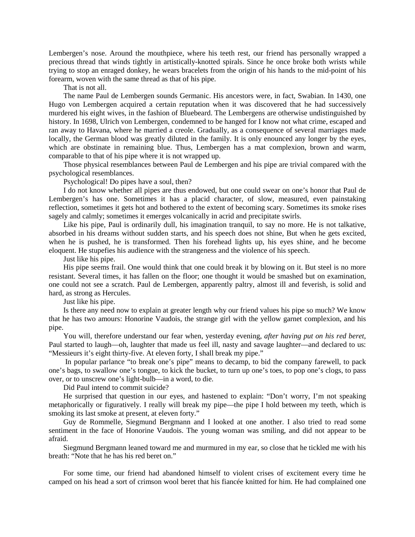Lembergen's nose. Around the mouthpiece, where his teeth rest, our friend has personally wrapped a precious thread that winds tightly in artistically-knotted spirals. Since he once broke both wrists while trying to stop an enraged donkey, he wears bracelets from the origin of his hands to the mid-point of his forearm, woven with the same thread as that of his pipe.

That is not all.

The name Paul de Lembergen sounds Germanic. His ancestors were, in fact, Swabian. In 1430, one Hugo von Lembergen acquired a certain reputation when it was discovered that he had successively murdered his eight wives, in the fashion of Bluebeard. The Lembergens are otherwise undistinguished by history. In 1698, Ulrich von Lembergen, condemned to be hanged for I know not what crime, escaped and ran away to Havana, where he married a creole. Gradually, as a consequence of several marriages made locally, the German blood was greatly diluted in the family. It is only enounced any longer by the eyes, which are obstinate in remaining blue. Thus, Lembergen has a mat complexion, brown and warm, comparable to that of his pipe where it is not wrapped up.

Those physical resemblances between Paul de Lembergen and his pipe are trivial compared with the psychological resemblances.

Psychological! Do pipes have a soul, then?

I do not know whether all pipes are thus endowed, but one could swear on one's honor that Paul de Lembergen's has one. Sometimes it has a placid character, of slow, measured, even painstaking reflection, sometimes it gets hot and bothered to the extent of becoming scary. Sometimes its smoke rises sagely and calmly; sometimes it emerges volcanically in acrid and precipitate swirls.

Like his pipe, Paul is ordinarily dull, his imagination tranquil, to say no more. He is not talkative, absorbed in his dreams without sudden starts, and his speech does not shine, But when he gets excited, when he is pushed, he is transformed. Then his forehead lights up, his eyes shine, and he become eloquent. He stupefies his audience with the strangeness and the violence of his speech.

Just like his pipe.

His pipe seems frail. One would think that one could break it by blowing on it. But steel is no more resistant. Several times, it has fallen on the floor; one thought it would be smashed but on examination, one could not see a scratch. Paul de Lembergen, apparently paltry, almost ill and feverish, is solid and hard, as strong as Hercules.

Just like his pipe.

Is there any need now to explain at greater length why our friend values his pipe so much? We know that he has two amours: Honorine Vaudois, the strange girl with the yellow garnet complexion, and his pipe.

You will, therefore understand our fear when, yesterday evening, *after having put on his red beret*, Paul started to laugh—oh, laughter that made us feel ill, nasty and savage laughter—and declared to us: "Messieurs it's eight thirty-five. At eleven forty, I shall break my pipe."

In popular parlance "to break one's pipe" means to decamp, to bid the company farewell, to pack one's bags, to swallow one's tongue, to kick the bucket, to turn up one's toes, to pop one's clogs, to pass over, or to unscrew one's light-bulb—in a word, to die.

Did Paul intend to commit suicide?

He surprised that question in our eyes, and hastened to explain: "Don't worry, I'm not speaking metaphorically or figuratively. I really will break my pipe—the pipe I hold between my teeth, which is smoking its last smoke at present, at eleven forty."

Guy de Rommelle, Siegmund Bergmann and I looked at one another. I also tried to read some sentiment in the face of Honorine Vaudois. The young woman was smiling, and did not appear to be afraid.

Siegmund Bergmann leaned toward me and murmured in my ear, so close that he tickled me with his breath: "Note that he has his red beret on."

For some time, our friend had abandoned himself to violent crises of excitement every time he camped on his head a sort of crimson wool beret that his fiancée knitted for him. He had complained one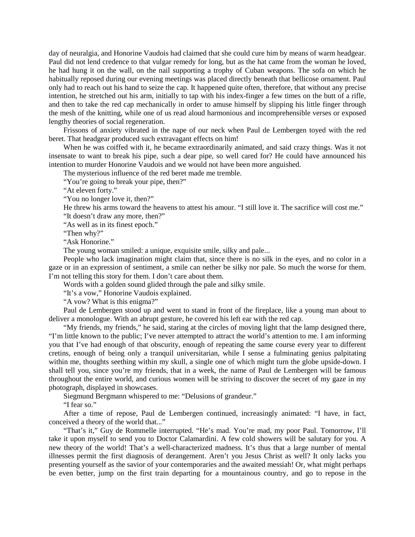day of neuralgia, and Honorine Vaudois had claimed that she could cure him by means of warm headgear. Paul did not lend credence to that vulgar remedy for long, but as the hat came from the woman he loved, he had hung it on the wall, on the nail supporting a trophy of Cuban weapons. The sofa on which he habitually reposed during our evening meetings was placed directly beneath that bellicose ornament. Paul only had to reach out his hand to seize the cap. It happened quite often, therefore, that without any precise intention, he stretched out his arm, initially to tap with his index-finger a few times on the butt of a rifle, and then to take the red cap mechanically in order to amuse himself by slipping his little finger through the mesh of the knitting, while one of us read aloud harmonious and incomprehensible verses or exposed lengthy theories of social regeneration.

Frissons of anxiety vibrated in the nape of our neck when Paul de Lembergen toyed with the red beret. That headgear produced such extravagant effects on him!

When he was coiffed with it, he became extraordinarily animated, and said crazy things. Was it not insensate to want to break his pipe, such a dear pipe, so well cared for? He could have announced his intention to murder Honorine Vaudois and we would not have been more anguished.

The mysterious influence of the red beret made me tremble.

"You're going to break your pipe, then?"

"At eleven forty."

"You no longer love it, then?"

He threw his arms toward the heavens to attest his amour. "I still love it. The sacrifice will cost me."

"It doesn't draw any more, then?"

"As well as in its finest epoch."

"Then why?"

"Ask Honorine."

The young woman smiled: a unique, exquisite smile, silky and pale...

People who lack imagination might claim that, since there is no silk in the eyes, and no color in a gaze or in an expression of sentiment, a smile can nether be silky nor pale. So much the worse for them. I'm not telling this story for them. I don't care about them.

Words with a golden sound glided through the pale and silky smile.

"It's a vow," Honorine Vaudois explained.

"A vow? What is this enigma?"

Paul de Lembergen stood up and went to stand in front of the fireplace, like a young man about to deliver a monologue. With an abrupt gesture, he covered his left ear with the red cap.

"My friends, my friends," he said, staring at the circles of moving light that the lamp designed there, "I'm little known to the public; I've never attempted to attract the world's attention to me. I am informing you that I've had enough of that obscurity, enough of repeating the same course every year to different cretins, enough of being only a tranquil universitarian, while I sense a fulminating genius palpitating within me, thoughts seething within my skull, a single one of which might turn the globe upside-down. I shall tell you, since you're my friends, that in a week, the name of Paul de Lembergen will be famous throughout the entire world, and curious women will be striving to discover the secret of my gaze in my photograph, displayed in showcases.

Siegmund Bergmann whispered to me: "Delusions of grandeur."

"I fear so."

After a time of repose, Paul de Lembergen continued, increasingly animated: "I have, in fact, conceived a theory of the world that..."

"That's it," Guy de Rommelle interrupted. "He's mad. You're mad, my poor Paul. Tomorrow, I'll take it upon myself to send you to Doctor Calamardini. A few cold showers will be salutary for you. A new theory of the world! That's a well-characterized madness. It's thus that a large number of mental illnesses permit the first diagnosis of derangement. Aren't you Jesus Christ as well? It only lacks you presenting yourself as the savior of your contemporaries and the awaited messiah! Or, what might perhaps be even better, jump on the first train departing for a mountainous country, and go to repose in the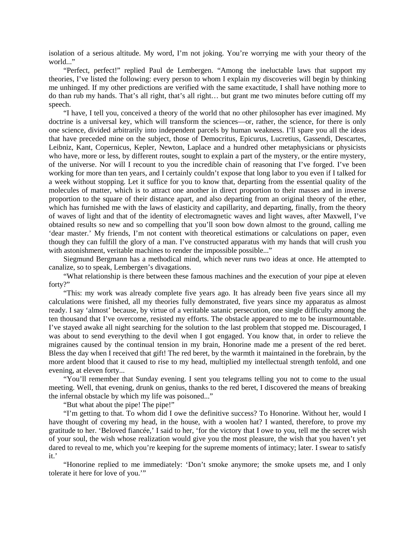isolation of a serious altitude. My word, I'm not joking. You're worrying me with your theory of the world..."

"Perfect, perfect!" replied Paul de Lembergen. "Among the ineluctable laws that support my theories, I've listed the following: every person to whom I explain my discoveries will begin by thinking me unhinged. If my other predictions are verified with the same exactitude, I shall have nothing more to do than rub my hands. That's all right, that's all right… but grant me two minutes before cutting off my speech.

"I have, I tell you, conceived a theory of the world that no other philosopher has ever imagined. My doctrine is a universal key, which will transform the sciences—or, rather, the science, for there is only one science, divided arbitrarily into independent parcels by human weakness. I'll spare you all the ideas that have preceded mine on the subject, those of Democritus, Epicurus, Lucretius, Gassendi, Descartes, Leibniz, Kant, Copernicus, Kepler, Newton, Laplace and a hundred other metaphysicians or physicists who have, more or less, by different routes, sought to explain a part of the mystery, or the entire mystery, of the universe. Nor will I recount to you the incredible chain of reasoning that I've forged. I've been working for more than ten years, and I certainly couldn't expose that long labor to you even if I talked for a week without stopping. Let it suffice for you to know that, departing from the essential quality of the molecules of matter, which is to attract one another in direct proportion to their masses and in inverse proportion to the square of their distance apart, and also departing from an original theory of the ether, which has furnished me with the laws of elasticity and capillarity, and departing, finally, from the theory of waves of light and that of the identity of electromagnetic waves and light waves, after Maxwell, I've obtained results so new and so compelling that you'll soon bow down almost to the ground, calling me 'dear master.' My friends, I'm not content with theoretical estimations or calculations on paper, even though they can fulfill the glory of a man. I've constructed apparatus with my hands that will crush you with astonishment, veritable machines to render the impossible possible..."

Siegmund Bergmann has a methodical mind, which never runs two ideas at once. He attempted to canalize, so to speak, Lembergen's divagations.

"What relationship is there between these famous machines and the execution of your pipe at eleven forty?"

"This: my work was already complete five years ago. It has already been five years since all my calculations were finished, all my theories fully demonstrated, five years since my apparatus as almost ready. I say 'almost' because, by virtue of a veritable satanic persecution, one single difficulty among the ten thousand that I've overcome, resisted my efforts. The obstacle appeared to me to be insurmountable. I've stayed awake all night searching for the solution to the last problem that stopped me. Discouraged, I was about to send everything to the devil when I got engaged. You know that, in order to relieve the migraines caused by the continual tension in my brain, Honorine made me a present of the red beret. Bless the day when I received that gift! The red beret, by the warmth it maintained in the forebrain, by the more ardent blood that it caused to rise to my head, multiplied my intellectual strength tenfold, and one evening, at eleven forty...

"You'll remember that Sunday evening. I sent you telegrams telling you not to come to the usual meeting. Well, that evening, drunk on genius, thanks to the red beret, I discovered the means of breaking the infernal obstacle by which my life was poisoned..."

"But what about the pipe! The pipe!"

"I'm getting to that. To whom did I owe the definitive success? To Honorine. Without her, would I have thought of covering my head, in the house, with a woolen hat? I wanted, therefore, to prove my gratitude to her. 'Beloved fiancée,' I said to her, 'for the victory that I owe to you, tell me the secret wish of your soul, the wish whose realization would give you the most pleasure, the wish that you haven't yet dared to reveal to me, which you're keeping for the supreme moments of intimacy; later. I swear to satisfy it.'

"Honorine replied to me immediately: 'Don't smoke anymore; the smoke upsets me, and I only tolerate it here for love of you.'"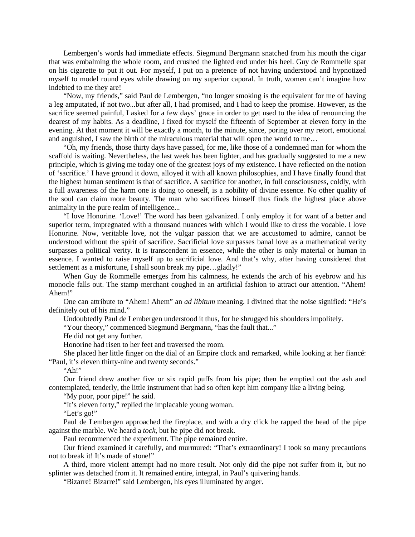Lembergen's words had immediate effects. Siegmund Bergmann snatched from his mouth the cigar that was embalming the whole room, and crushed the lighted end under his heel. Guy de Rommelle spat on his cigarette to put it out. For myself, I put on a pretence of not having understood and hypnotized myself to model round eyes while drawing on my superior caporal. In truth, women can't imagine how indebted to me they are!

"Now, my friends," said Paul de Lembergen, "no longer smoking is the equivalent for me of having a leg amputated, if not two...but after all, I had promised, and I had to keep the promise. However, as the sacrifice seemed painful, I asked for a few days' grace in order to get used to the idea of renouncing the dearest of my habits. As a deadline, I fixed for myself the fifteenth of September at eleven forty in the evening. At that moment it will be exactly a month, to the minute, since, poring over my retort, emotional and anguished, I saw the birth of the miraculous material that will open the world to me…

"Oh, my friends, those thirty days have passed, for me, like those of a condemned man for whom the scaffold is waiting. Nevertheless, the last week has been lighter, and has gradually suggested to me a new principle, which is giving me today one of the greatest joys of my existence. I have reflected on the notion of 'sacrifice.' I have ground it down, alloyed it with all known philosophies, and I have finally found that the highest human sentiment is that of sacrifice. A sacrifice for another, in full consciousness, coldly, with a full awareness of the harm one is doing to oneself, is a nobility of divine essence. No other quality of the soul can claim more beauty. The man who sacrifices himself thus finds the highest place above animality in the pure realm of intelligence...

"I love Honorine. 'Love!' The word has been galvanized. I only employ it for want of a better and superior term, impregnated with a thousand nuances with which I would like to dress the vocable. I love Honorine. Now, veritable love, not the vulgar passion that we are accustomed to admire, cannot be understood without the spirit of sacrifice. Sacrificial love surpasses banal love as a mathematical verity surpasses a political verity. It is transcendent in essence, while the other is only material or human in essence. I wanted to raise myself up to sacrificial love. And that's why, after having considered that settlement as a misfortune, I shall soon break my pipe...gladly!"

When Guy de Rommelle emerges from his calmness, he extends the arch of his eyebrow and his monocle falls out. The stamp merchant coughed in an artificial fashion to attract our attention. "Ahem! Ahem!"

One can attribute to "Ahem! Ahem" an *ad libitum* meaning. I divined that the noise signified: "He's definitely out of his mind."

Undoubtedly Paul de Lembergen understood it thus, for he shrugged his shoulders impolitely.

"Your theory," commenced Siegmund Bergmann, "has the fault that..."

He did not get any further.

Honorine had risen to her feet and traversed the room.

She placed her little finger on the dial of an Empire clock and remarked, while looking at her fiancé: "Paul, it's eleven thirty-nine and twenty seconds."

"Ah!"

Our friend drew another five or six rapid puffs from his pipe; then he emptied out the ash and contemplated, tenderly, the little instrument that had so often kept him company like a living being.

"My poor, poor pipe!" he said.

"It's eleven forty," replied the implacable young woman.

"Let's go!"

Paul de Lembergen approached the fireplace, and with a dry click he rapped the head of the pipe against the marble. We heard a *tock*, but he pipe did not break.

Paul recommenced the experiment. The pipe remained entire.

Our friend examined it carefully, and murmured: "That's extraordinary! I took so many precautions not to break it! It's made of stone!"

A third, more violent attempt had no more result. Not only did the pipe not suffer from it, but no splinter was detached from it. It remained entire, integral, in Paul's quivering hands.

"Bizarre! Bizarre!" said Lembergen, his eyes illuminated by anger.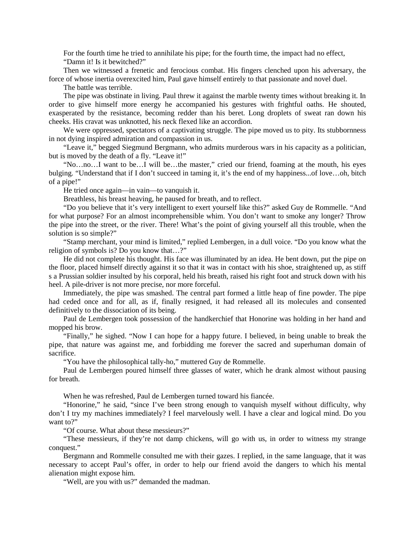For the fourth time he tried to annihilate his pipe; for the fourth time, the impact had no effect, "Damn it! Is it bewitched?"

Then we witnessed a frenetic and ferocious combat. His fingers clenched upon his adversary, the force of whose inertia overexcited him, Paul gave himself entirely to that passionate and novel duel.

The battle was terrible.

The pipe was obstinate in living. Paul threw it against the marble twenty times without breaking it. In order to give himself more energy he accompanied his gestures with frightful oaths. He shouted, exasperated by the resistance, becoming redder than his beret. Long droplets of sweat ran down his cheeks. His cravat was unknotted, his neck flexed like an accordion.

We were oppressed, spectators of a captivating struggle. The pipe moved us to pity. Its stubbornness in not dying inspired admiration and compassion in us.

"Leave it," begged Siegmund Bergmann, who admits murderous wars in his capacity as a politician, but is moved by the death of a fly. "Leave it!"

"No…no…I want to be…I will be…the master," cried our friend, foaming at the mouth, his eyes bulging. "Understand that if I don't succeed in taming it, it's the end of my happiness...of love…oh, bitch of a pipe!"

He tried once again—in vain—to vanquish it.

Breathless, his breast heaving, he paused for breath, and to reflect.

"Do you believe that it's very intelligent to exert yourself like this?" asked Guy de Rommelle. "And for what purpose? For an almost incomprehensible whim. You don't want to smoke any longer? Throw the pipe into the street, or the river. There! What's the point of giving yourself all this trouble, when the solution is so simple?"

"Stamp merchant, your mind is limited," replied Lembergen, in a dull voice. "Do you know what the religion of symbols is? Do you know that…?"

He did not complete his thought. His face was illuminated by an idea. He bent down, put the pipe on the floor, placed himself directly against it so that it was in contact with his shoe, straightened up, as stiff s a Prussian soldier insulted by his corporal, held his breath, raised his right foot and struck down with his heel. A pile-driver is not more precise, nor more forceful.

Immediately, the pipe was smashed. The central part formed a little heap of fine powder. The pipe had ceded once and for all, as if, finally resigned, it had released all its molecules and consented definitively to the dissociation of its being.

Paul de Lembergen took possession of the handkerchief that Honorine was holding in her hand and mopped his brow.

"Finally," he sighed. "Now I can hope for a happy future. I believed, in being unable to break the pipe, that nature was against me, and forbidding me forever the sacred and superhuman domain of sacrifice.

"You have the philosophical tally-ho," muttered Guy de Rommelle.

Paul de Lembergen poured himself three glasses of water, which he drank almost without pausing for breath.

When he was refreshed, Paul de Lembergen turned toward his fiancée.

"Honorine," he said, "since I've been strong enough to vanquish myself without difficulty, why don't I try my machines immediately? I feel marvelously well. I have a clear and logical mind. Do you want to?"

"Of course. What about these messieurs?"

"These messieurs, if they're not damp chickens, will go with us, in order to witness my strange conquest."

Bergmann and Rommelle consulted me with their gazes. I replied, in the same language, that it was necessary to accept Paul's offer, in order to help our friend avoid the dangers to which his mental alienation might expose him.

"Well, are you with us?" demanded the madman.